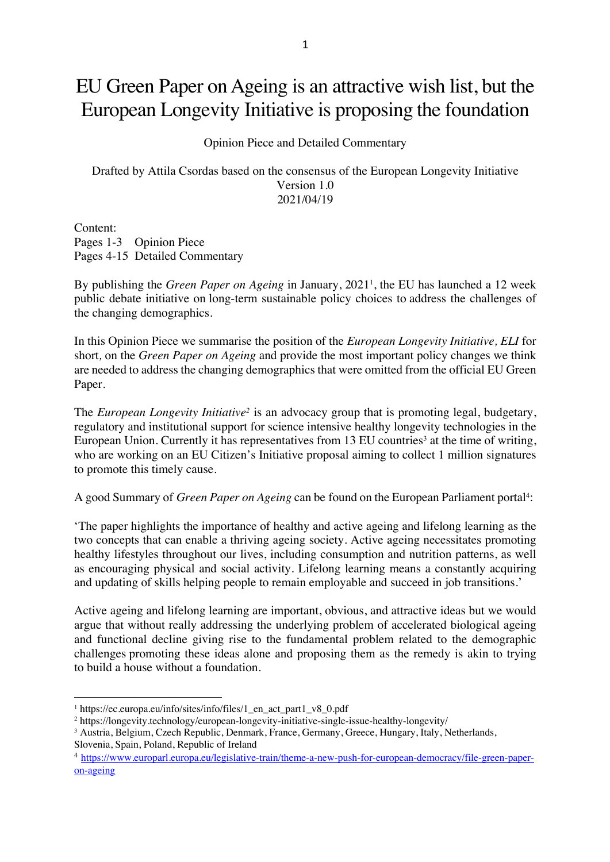## EU Green Paper on Ageing is an attractive wish list, but the European Longevity Initiative is proposing the foundation

Opinion Piece and Detailed Commentary

Drafted by Attila Csordas based on the consensus of the European Longevity Initiative Version 1.0 2021/04/19

Content: Pages 1-3 Opinion Piece Pages 4-15 Detailed Commentary

By publishing the *Green Paper on Ageing* in January, 20211 , the EU has launched a 12 week public debate initiative on long-term sustainable policy choices to address the challenges of the changing demographics.

In this Opinion Piece we summarise the position of the *European Longevity Initiative, ELI* for short*,* on the *Green Paper on Ageing* and provide the most important policy changes we think are needed to address the changing demographics that were omitted from the official EU Green Paper.

The *European Longevity Initiative*<sup>2</sup> is an advocacy group that is promoting legal, budgetary, regulatory and institutional support for science intensive healthy longevity technologies in the European Union. Currently it has representatives from 13 EU countries<sup>3</sup> at the time of writing, who are working on an EU Citizen's Initiative proposal aiming to collect 1 million signatures to promote this timely cause.

A good Summary of *Green Paper on Ageing* can be found on the European Parliament portal<sup>4</sup>:

'The paper highlights the importance of healthy and active ageing and lifelong learning as the two concepts that can enable a thriving ageing society. Active ageing necessitates promoting healthy lifestyles throughout our lives, including consumption and nutrition patterns, as well as encouraging physical and social activity. Lifelong learning means a constantly acquiring and updating of skills helping people to remain employable and succeed in job transitions.'

Active ageing and lifelong learning are important, obvious, and attractive ideas but we would argue that without really addressing the underlying problem of accelerated biological ageing and functional decline giving rise to the fundamental problem related to the demographic challenges promoting these ideas alone and proposing them as the remedy is akin to trying to build a house without a foundation.

<sup>1</sup> https://ec.europa.eu/info/sites/info/files/1\_en\_act\_part1\_v8\_0.pdf

<sup>2</sup> https://longevity.technology/european-longevity-initiative-single-issue-healthy-longevity/

<sup>3</sup> Austria, Belgium, Czech Republic, Denmark, France, Germany, Greece, Hungary, Italy, Netherlands,

Slovenia, Spain, Poland, Republic of Ireland

<sup>4</sup> https://www.europarl.europa.eu/legislative-train/theme-a-new-push-for-european-democracy/file-green-paperon-ageing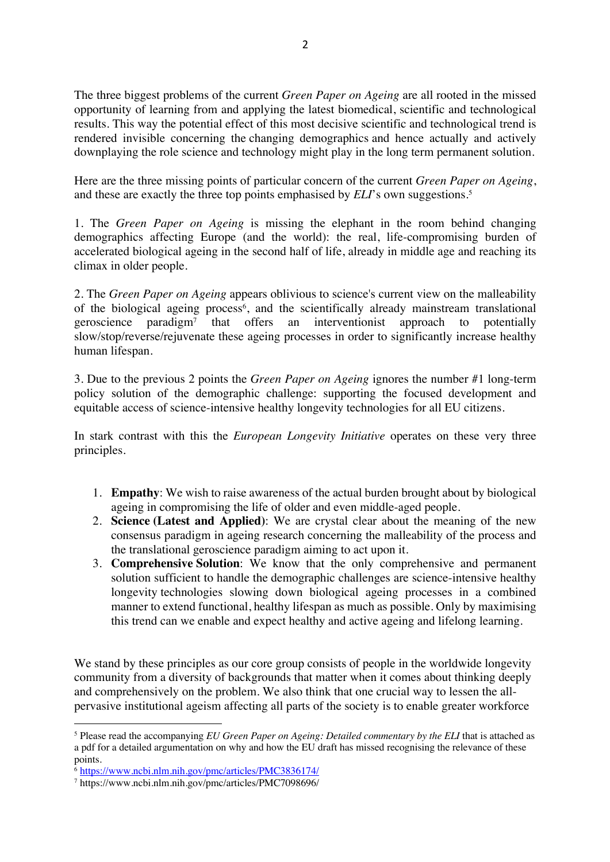The three biggest problems of the current *Green Paper on Ageing* are all rooted in the missed opportunity of learning from and applying the latest biomedical, scientific and technological results. This way the potential effect of this most decisive scientific and technological trend is rendered invisible concerning the changing demographics and hence actually and actively downplaying the role science and technology might play in the long term permanent solution.

Here are the three missing points of particular concern of the current *Green Paper on Ageing*, and these are exactly the three top points emphasised by *ELI*'s own suggestions. 5

1. The *Green Paper on Ageing* is missing the elephant in the room behind changing demographics affecting Europe (and the world): the real, life-compromising burden of accelerated biological ageing in the second half of life, already in middle age and reaching its climax in older people.

2. The *Green Paper on Ageing* appears oblivious to science's current view on the malleability of the biological ageing process<sup>6</sup>, and the scientifically already mainstream translational geroscience paradigm7 that offers an interventionist approach to potentially slow/stop/reverse/rejuvenate these ageing processes in order to significantly increase healthy human lifespan.

3. Due to the previous 2 points the *Green Paper on Ageing* ignores the number #1 long-term policy solution of the demographic challenge: supporting the focused development and equitable access of science-intensive healthy longevity technologies for all EU citizens.

In stark contrast with this the *European Longevity Initiative* operates on these very three principles.

- 1. **Empathy**: We wish to raise awareness of the actual burden brought about by biological ageing in compromising the life of older and even middle-aged people.
- 2. **Science (Latest and Applied)**: We are crystal clear about the meaning of the new consensus paradigm in ageing research concerning the malleability of the process and the translational geroscience paradigm aiming to act upon it.
- 3. **Comprehensive Solution**: We know that the only comprehensive and permanent solution sufficient to handle the demographic challenges are science-intensive healthy longevity technologies slowing down biological ageing processes in a combined manner to extend functional, healthy lifespan as much as possible. Only by maximising this trend can we enable and expect healthy and active ageing and lifelong learning.

We stand by these principles as our core group consists of people in the worldwide longevity community from a diversity of backgrounds that matter when it comes about thinking deeply and comprehensively on the problem. We also think that one crucial way to lessen the allpervasive institutional ageism affecting all parts of the society is to enable greater workforce

<sup>5</sup> Please read the accompanying *EU Green Paper on Ageing: Detailed commentary by the ELI* that is attached as a pdf for a detailed argumentation on why and how the EU draft has missed recognising the relevance of these points.

<sup>6</sup> https://www.ncbi.nlm.nih.gov/pmc/articles/PMC3836174/

<sup>7</sup> https://www.ncbi.nlm.nih.gov/pmc/articles/PMC7098696/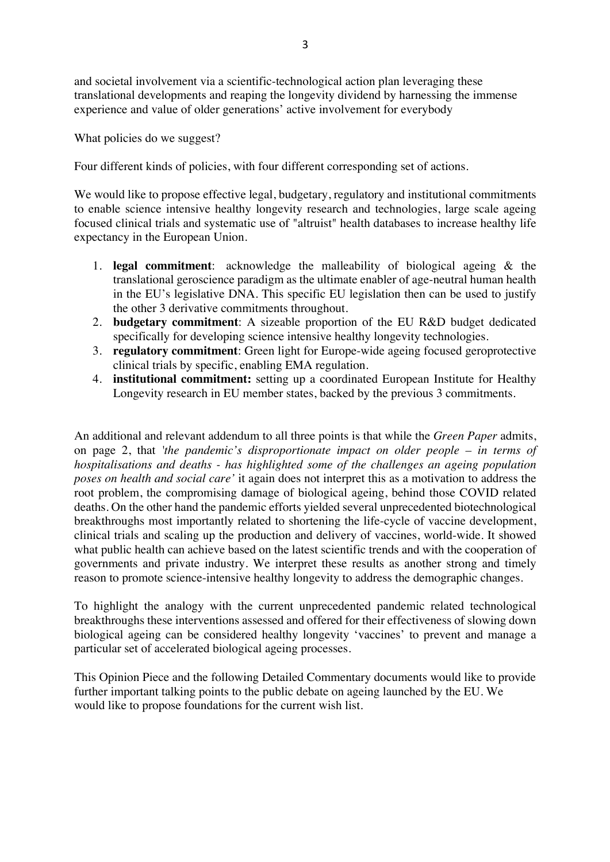and societal involvement via a scientific-technological action plan leveraging these translational developments and reaping the longevity dividend by harnessing the immense experience and value of older generations' active involvement for everybody

What policies do we suggest?

Four different kinds of policies, with four different corresponding set of actions.

We would like to propose effective legal, budgetary, regulatory and institutional commitments to enable science intensive healthy longevity research and technologies, large scale ageing focused clinical trials and systematic use of "altruist" health databases to increase healthy life expectancy in the European Union.

- 1. **legal commitment**: acknowledge the malleability of biological ageing & the translational geroscience paradigm as the ultimate enabler of age-neutral human health in the EU's legislative DNA. This specific EU legislation then can be used to justify the other 3 derivative commitments throughout.
- 2. **budgetary commitment**: A sizeable proportion of the EU R&D budget dedicated specifically for developing science intensive healthy longevity technologies.
- 3. **regulatory commitment**: Green light for Europe-wide ageing focused geroprotective clinical trials by specific, enabling EMA regulation.
- 4. **institutional commitment:** setting up a coordinated European Institute for Healthy Longevity research in EU member states, backed by the previous 3 commitments.

An additional and relevant addendum to all three points is that while the *Green Paper* admits, on page 2, that *'the pandemic's disproportionate impact on older people – in terms of hospitalisations and deaths - has highlighted some of the challenges an ageing population poses on health and social care'* it again does not interpret this as a motivation to address the root problem, the compromising damage of biological ageing, behind those COVID related deaths. On the other hand the pandemic efforts yielded several unprecedented biotechnological breakthroughs most importantly related to shortening the life-cycle of vaccine development, clinical trials and scaling up the production and delivery of vaccines, world-wide. It showed what public health can achieve based on the latest scientific trends and with the cooperation of governments and private industry. We interpret these results as another strong and timely reason to promote science-intensive healthy longevity to address the demographic changes.

To highlight the analogy with the current unprecedented pandemic related technological breakthroughs these interventions assessed and offered for their effectiveness of slowing down biological ageing can be considered healthy longevity 'vaccines' to prevent and manage a particular set of accelerated biological ageing processes.

This Opinion Piece and the following Detailed Commentary documents would like to provide further important talking points to the public debate on ageing launched by the EU. We would like to propose foundations for the current wish list.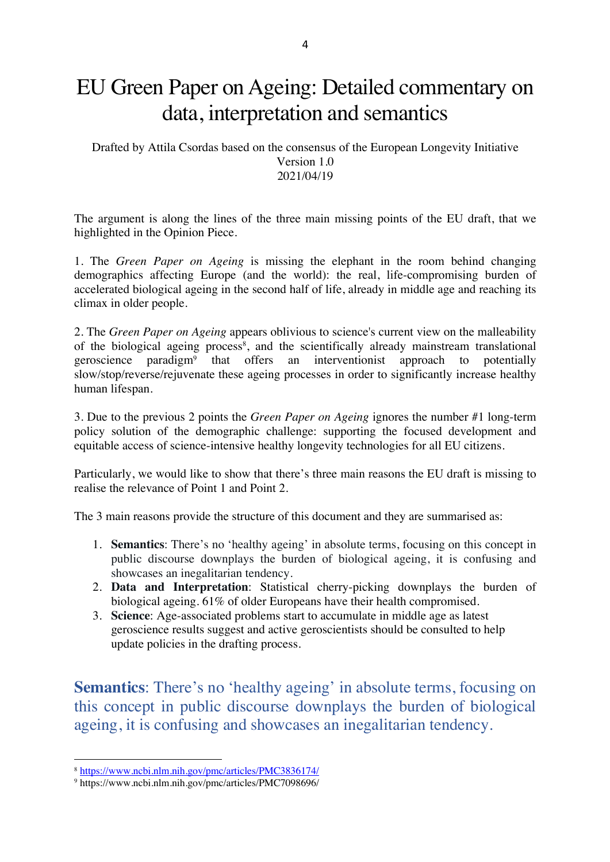# EU Green Paper on Ageing: Detailed commentary on data, interpretation and semantics

Drafted by Attila Csordas based on the consensus of the European Longevity Initiative Version 1.0 2021/04/19

The argument is along the lines of the three main missing points of the EU draft, that we highlighted in the Opinion Piece.

1. The *Green Paper on Ageing* is missing the elephant in the room behind changing demographics affecting Europe (and the world): the real, life-compromising burden of accelerated biological ageing in the second half of life, already in middle age and reaching its climax in older people.

2. The *Green Paper on Ageing* appears oblivious to science's current view on the malleability of the biological ageing process<sup>8</sup>, and the scientifically already mainstream translational geroscience paradigm9 that offers an interventionist approach to potentially slow/stop/reverse/rejuvenate these ageing processes in order to significantly increase healthy human lifespan.

3. Due to the previous 2 points the *Green Paper on Ageing* ignores the number #1 long-term policy solution of the demographic challenge: supporting the focused development and equitable access of science-intensive healthy longevity technologies for all EU citizens.

Particularly, we would like to show that there's three main reasons the EU draft is missing to realise the relevance of Point 1 and Point 2.

The 3 main reasons provide the structure of this document and they are summarised as:

- 1. **Semantics**: There's no 'healthy ageing' in absolute terms, focusing on this concept in public discourse downplays the burden of biological ageing, it is confusing and showcases an inegalitarian tendency.
- 2. **Data and Interpretation**: Statistical cherry-picking downplays the burden of biological ageing. 61% of older Europeans have their health compromised.
- 3. **Science**: Age-associated problems start to accumulate in middle age as latest geroscience results suggest and active geroscientists should be consulted to help update policies in the drafting process.

**Semantics**: There's no 'healthy ageing' in absolute terms, focusing on this concept in public discourse downplays the burden of biological ageing, it is confusing and showcases an inegalitarian tendency.

<sup>8</sup> https://www.ncbi.nlm.nih.gov/pmc/articles/PMC3836174/

<sup>9</sup> https://www.ncbi.nlm.nih.gov/pmc/articles/PMC7098696/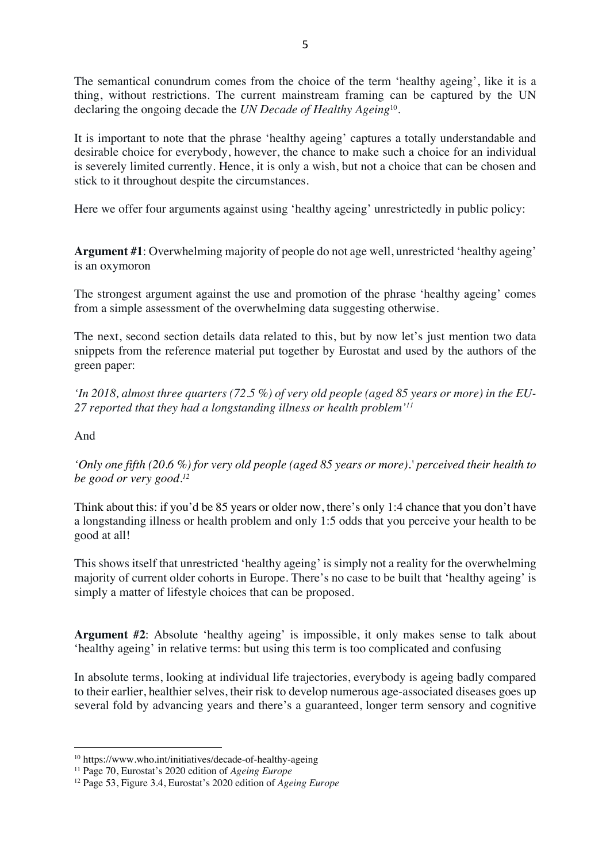The semantical conundrum comes from the choice of the term 'healthy ageing', like it is a thing, without restrictions. The current mainstream framing can be captured by the UN declaring the ongoing decade the *UN Decade of Healthy Ageing*10.

It is important to note that the phrase 'healthy ageing' captures a totally understandable and desirable choice for everybody, however, the chance to make such a choice for an individual is severely limited currently. Hence, it is only a wish, but not a choice that can be chosen and stick to it throughout despite the circumstances.

Here we offer four arguments against using 'healthy ageing' unrestrictedly in public policy:

**Argument #1**: Overwhelming majority of people do not age well, unrestricted 'healthy ageing' is an oxymoron

The strongest argument against the use and promotion of the phrase 'healthy ageing' comes from a simple assessment of the overwhelming data suggesting otherwise.

The next, second section details data related to this, but by now let's just mention two data snippets from the reference material put together by Eurostat and used by the authors of the green paper:

*'In 2018, almost three quarters (72.5 %) of very old people (aged 85 years or more) in the EU-27 reported that they had a longstanding illness or health problem'11*

And

*'Only one fifth (20.6 %) for very old people (aged 85 years or more).' perceived their health to be good or very good. 12*

Think about this: if you'd be 85 years or older now, there's only 1:4 chance that you don't have a longstanding illness or health problem and only 1:5 odds that you perceive your health to be good at all!

This shows itself that unrestricted 'healthy ageing' is simply not a reality for the overwhelming majority of current older cohorts in Europe. There's no case to be built that 'healthy ageing' is simply a matter of lifestyle choices that can be proposed.

**Argument #2**: Absolute 'healthy ageing' is impossible, it only makes sense to talk about 'healthy ageing' in relative terms: but using this term is too complicated and confusing

In absolute terms, looking at individual life trajectories, everybody is ageing badly compared to their earlier, healthier selves, their risk to develop numerous age-associated diseases goes up several fold by advancing years and there's a guaranteed, longer term sensory and cognitive

<sup>10</sup> https://www.who.int/initiatives/decade-of-healthy-ageing

<sup>11</sup> Page 70, Eurostat's 2020 edition of *Ageing Europe*

<sup>12</sup> Page 53, Figure 3.4, Eurostat's 2020 edition of *Ageing Europe*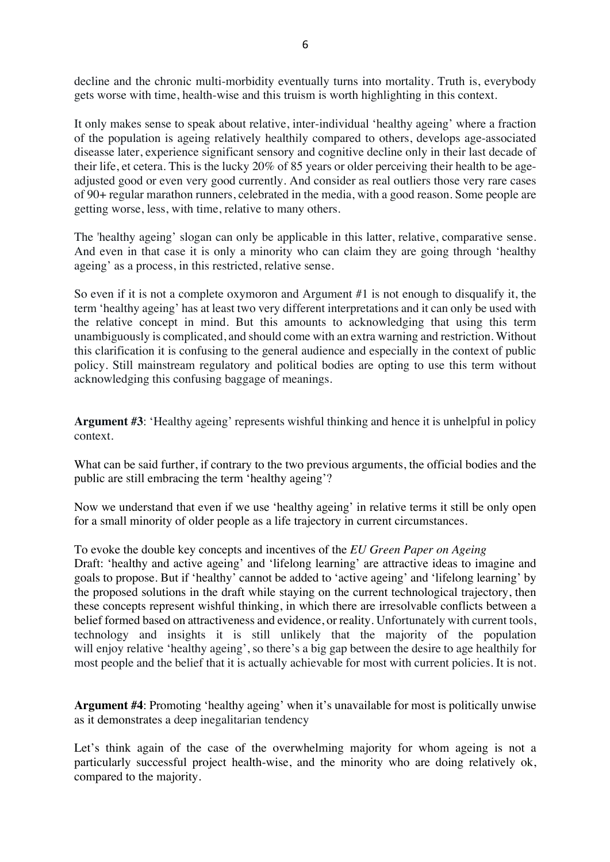decline and the chronic multi-morbidity eventually turns into mortality. Truth is, everybody gets worse with time, health-wise and this truism is worth highlighting in this context.

It only makes sense to speak about relative, inter-individual 'healthy ageing' where a fraction of the population is ageing relatively healthily compared to others, develops age-associated diseasse later, experience significant sensory and cognitive decline only in their last decade of their life, et cetera. This is the lucky 20% of 85 years or older perceiving their health to be ageadjusted good or even very good currently. And consider as real outliers those very rare cases of 90+ regular marathon runners, celebrated in the media, with a good reason. Some people are getting worse, less, with time, relative to many others.

The 'healthy ageing' slogan can only be applicable in this latter, relative, comparative sense. And even in that case it is only a minority who can claim they are going through 'healthy ageing' as a process, in this restricted, relative sense.

So even if it is not a complete oxymoron and Argument #1 is not enough to disqualify it, the term 'healthy ageing' has at least two very different interpretations and it can only be used with the relative concept in mind. But this amounts to acknowledging that using this term unambiguously is complicated, and should come with an extra warning and restriction. Without this clarification it is confusing to the general audience and especially in the context of public policy. Still mainstream regulatory and political bodies are opting to use this term without acknowledging this confusing baggage of meanings.

**Argument #3**: 'Healthy ageing' represents wishful thinking and hence it is unhelpful in policy context.

What can be said further, if contrary to the two previous arguments, the official bodies and the public are still embracing the term 'healthy ageing'?

Now we understand that even if we use 'healthy ageing' in relative terms it still be only open for a small minority of older people as a life trajectory in current circumstances.

To evoke the double key concepts and incentives of the *EU Green Paper on Ageing* Draft: 'healthy and active ageing' and 'lifelong learning' are attractive ideas to imagine and goals to propose. But if 'healthy' cannot be added to 'active ageing' and 'lifelong learning' by the proposed solutions in the draft while staying on the current technological trajectory, then these concepts represent wishful thinking, in which there are irresolvable conflicts between a belief formed based on attractiveness and evidence, or reality. Unfortunately with current tools, technology and insights it is still unlikely that the majority of the population will enjoy relative 'healthy ageing', so there's a big gap between the desire to age healthily for most people and the belief that it is actually achievable for most with current policies. It is not.

**Argument #4**: Promoting 'healthy ageing' when it's unavailable for most is politically unwise as it demonstrates a deep inegalitarian tendency

Let's think again of the case of the overwhelming majority for whom ageing is not a particularly successful project health-wise, and the minority who are doing relatively ok, compared to the majority.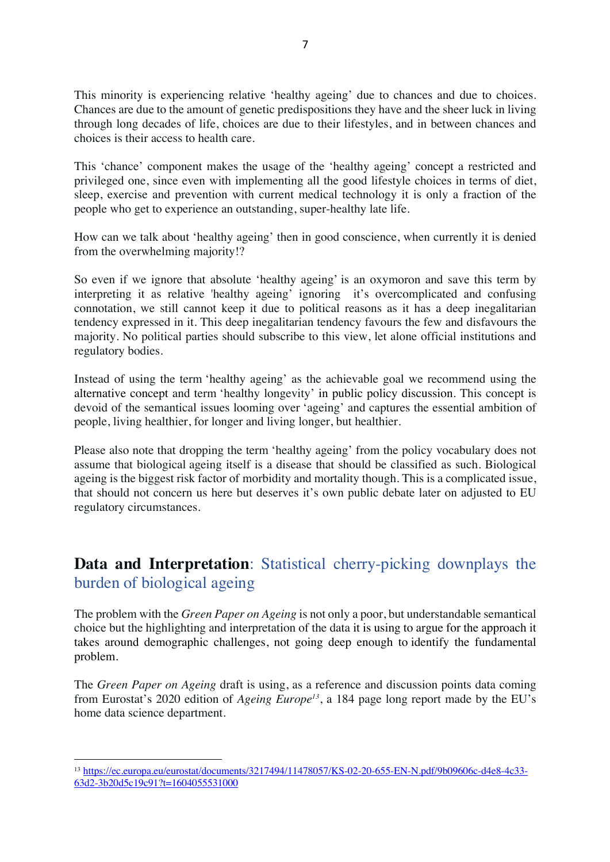This minority is experiencing relative 'healthy ageing' due to chances and due to choices. Chances are due to the amount of genetic predispositions they have and the sheer luck in living through long decades of life, choices are due to their lifestyles, and in between chances and choices is their access to health care.

This 'chance' component makes the usage of the 'healthy ageing' concept a restricted and privileged one, since even with implementing all the good lifestyle choices in terms of diet, sleep, exercise and prevention with current medical technology it is only a fraction of the people who get to experience an outstanding, super-healthy late life.

How can we talk about 'healthy ageing' then in good conscience, when currently it is denied from the overwhelming majority!?

So even if we ignore that absolute 'healthy ageing' is an oxymoron and save this term by interpreting it as relative 'healthy ageing' ignoring it's overcomplicated and confusing connotation, we still cannot keep it due to political reasons as it has a deep inegalitarian tendency expressed in it. This deep inegalitarian tendency favours the few and disfavours the majority. No political parties should subscribe to this view, let alone official institutions and regulatory bodies.

Instead of using the term 'healthy ageing' as the achievable goal we recommend using the alternative concept and term 'healthy longevity' in public policy discussion. This concept is devoid of the semantical issues looming over 'ageing' and captures the essential ambition of people, living healthier, for longer and living longer, but healthier.

Please also note that dropping the term 'healthy ageing' from the policy vocabulary does not assume that biological ageing itself is a disease that should be classified as such. Biological ageing is the biggest risk factor of morbidity and mortality though. This is a complicated issue, that should not concern us here but deserves it's own public debate later on adjusted to EU regulatory circumstances.

### **Data and Interpretation**: Statistical cherry-picking downplays the burden of biological ageing

The problem with the *Green Paper on Ageing* is not only a poor, but understandable semantical choice but the highlighting and interpretation of the data it is using to argue for the approach it takes around demographic challenges, not going deep enough to identify the fundamental problem.

The *Green Paper on Ageing* draft is using, as a reference and discussion points data coming from Eurostat's 2020 edition of *Ageing Europe13*, a 184 page long report made by the EU's home data science department.

<sup>13</sup> https://ec.europa.eu/eurostat/documents/3217494/11478057/KS-02-20-655-EN-N.pdf/9b09606c-d4e8-4c33- 63d2-3b20d5c19c91?t=1604055531000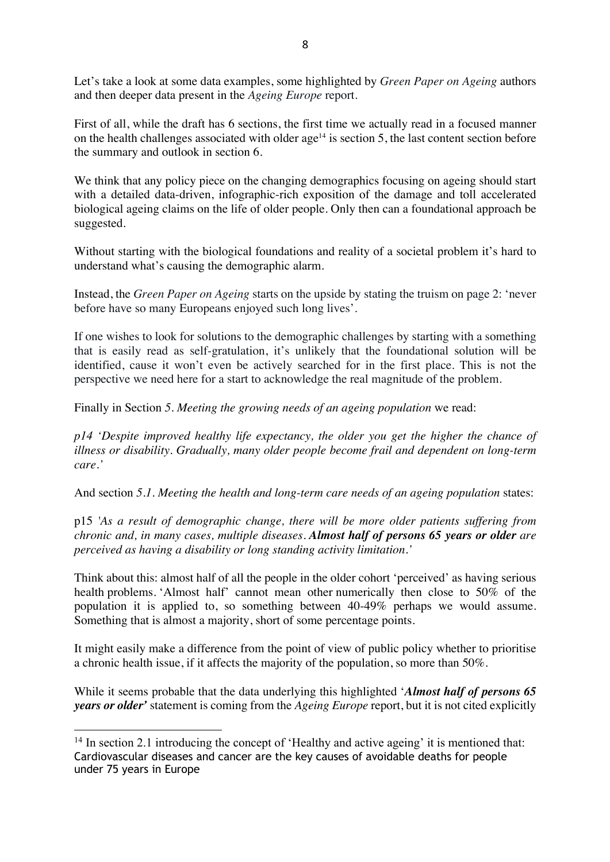Let's take a look at some data examples, some highlighted by *Green Paper on Ageing* authors and then deeper data present in the *Ageing Europe* report*.*

First of all, while the draft has 6 sections, the first time we actually read in a focused manner on the health challenges associated with older  $age^{14}$  is section 5, the last content section before the summary and outlook in section 6.

We think that any policy piece on the changing demographics focusing on ageing should start with a detailed data-driven, infographic-rich exposition of the damage and toll accelerated biological ageing claims on the life of older people. Only then can a foundational approach be suggested.

Without starting with the biological foundations and reality of a societal problem it's hard to understand what's causing the demographic alarm.

Instead, the *Green Paper on Ageing* starts on the upside by stating the truism on page 2: 'never before have so many Europeans enjoyed such long lives'.

If one wishes to look for solutions to the demographic challenges by starting with a something that is easily read as self-gratulation, it's unlikely that the foundational solution will be identified, cause it won't even be actively searched for in the first place. This is not the perspective we need here for a start to acknowledge the real magnitude of the problem.

Finally in Section *5. Meeting the growing needs of an ageing population* we read:

*p14 'Despite improved healthy life expectancy, the older you get the higher the chance of illness or disability. Gradually, many older people become frail and dependent on long-term care.'*

And section *5.1. Meeting the health and long-term care needs of an ageing population* states:

p15 *'As a result of demographic change, there will be more older patients suffering from chronic and, in many cases, multiple diseases. Almost half of persons 65 years or older are perceived as having a disability or long standing activity limitation.'*

Think about this: almost half of all the people in the older cohort 'perceived' as having serious health problems. 'Almost half' cannot mean other numerically then close to 50% of the population it is applied to, so something between 40-49% perhaps we would assume. Something that is almost a majority, short of some percentage points.

It might easily make a difference from the point of view of public policy whether to prioritise a chronic health issue, if it affects the majority of the population, so more than 50%.

While it seems probable that the data underlying this highlighted '*Almost half of persons 65 years or older'* statement is coming from the *Ageing Europe* report, but it is not cited explicitly

<sup>&</sup>lt;sup>14</sup> In section 2.1 introducing the concept of 'Healthy and active ageing' it is mentioned that: Cardiovascular diseases and cancer are the key causes of avoidable deaths for people under 75 years in Europe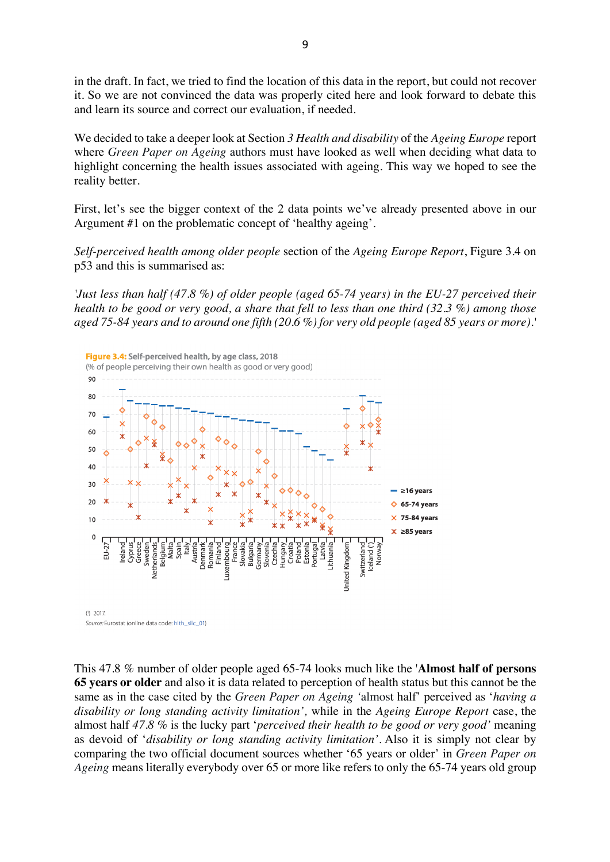in the draft. In fact, we tried to find the location of this data in the report, but could not recover it. So we are not convinced the data was properly cited here and look forward to debate this and learn its source and correct our evaluation, if needed.

We decided to take a deeper look at Section *3 Health and disability* of the *Ageing Europe* report where *Green Paper on Ageing* authors must have looked as well when deciding what data to highlight concerning the health issues associated with ageing. This way we hoped to see the reality better.

First, let's see the bigger context of the 2 data points we've already presented above in our Argument #1 on the problematic concept of 'healthy ageing'.

*Self-perceived health among older people* section of the *Ageing Europe Report*, Figure 3.4 on p53 and this is summarised as:

*'Just less than half (47.8 %) of older people (aged 65-74 years) in the EU-27 perceived their health to be good or very good, a share that fell to less than one third (32.3 %) among those aged 75-84 years and to around one fifth (20.6 %) for very old people (aged 85 years or more).'*



This 47.8 % number of older people aged 65-74 looks much like the '**Almost half of persons 65 years or older** and also it is data related to perception of health status but this cannot be the same as in the case cited by the *Green Paper on Ageing '*almost half' perceived as '*having a disability or long standing activity limitation',* while in the *Ageing Europe Report* case, the almost half *47.8 %* is the lucky part '*perceived their health to be good or very good'* meaning as devoid of '*disability or long standing activity limitation'.* Also it is simply not clear by comparing the two official document sources whether '65 years or older' in *Green Paper on Ageing* means literally everybody over 65 or more like refers to only the 65-74 years old group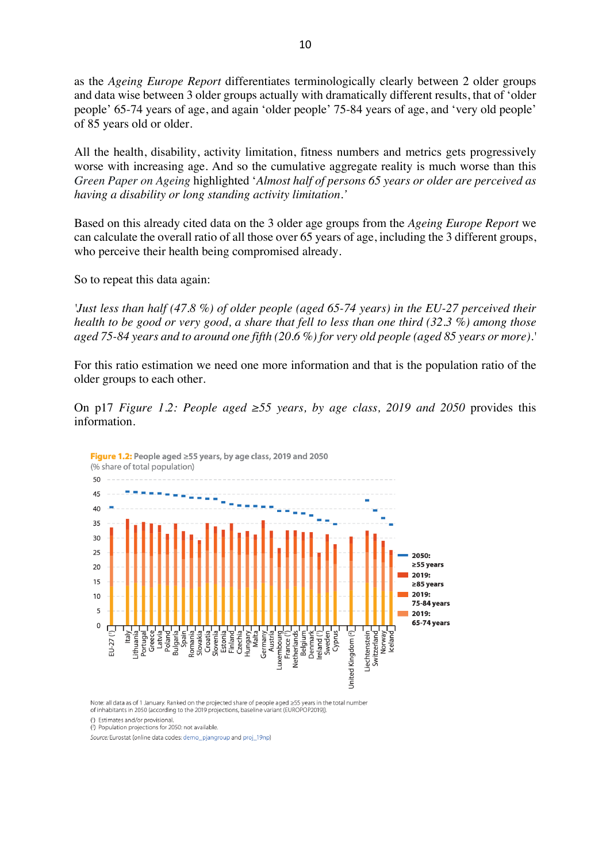as the *Ageing Europe Report* differentiates terminologically clearly between 2 older groups and data wise between 3 older groups actually with dramatically different results, that of 'older people' 65-74 years of age, and again 'older people' 75-84 years of age, and 'very old people' of 85 years old or older.

All the health, disability, activity limitation, fitness numbers and metrics gets progressively worse with increasing age. And so the cumulative aggregate reality is much worse than this *Green Paper on Ageing* highlighted '*Almost half of persons 65 years or older are perceived as having a disability or long standing activity limitation.'*

Based on this already cited data on the 3 older age groups from the *Ageing Europe Report* we can calculate the overall ratio of all those over 65 years of age, including the 3 different groups, who perceive their health being compromised already.

So to repeat this data again:

*'Just less than half (47.8 %) of older people (aged 65-74 years) in the EU-27 perceived their health to be good or very good, a share that fell to less than one third (32.3 %) among those aged 75-84 years and to around one fifth (20.6 %) for very old people (aged 85 years or more).'*

For this ratio estimation we need one more information and that is the population ratio of the older groups to each other.

On p17 *Figure 1.2: People aged ≥55 years, by age class, 2019 and 2050* provides this information.



Note: all data as of 1 January. Ranked on the projected share of people aged >55 years in the total number of inhabitants in 2050 (according to the 2019 projections, baseline variant (EUROPOP2019)).

(1) Estimates and/or provisional

<sup>(2</sup>) Population projections for 2050: not available

Source: Eurostat (online data codes: demo\_pjangroup and proj\_19np)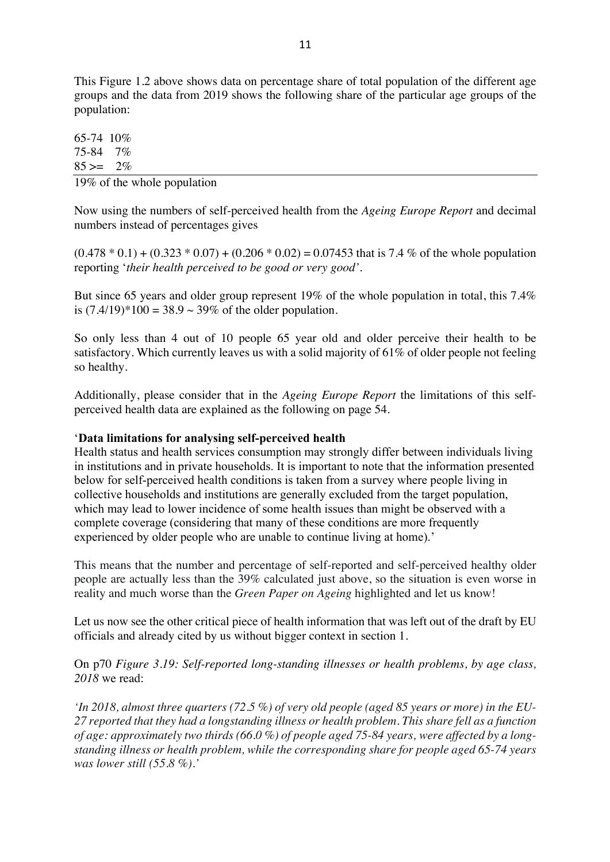This Figure 1.2 above shows data on percentage share of total population of the different age groups and the data from 2019 shows the following share of the particular age groups of the population:

65-74 10% 75-84 7%  $85 = 2\%$ 

19% of the whole population

Now using the numbers of self-perceived health from the *Ageing Europe Report* and decimal numbers instead of percentages gives

 $(0.478 * 0.1) + (0.323 * 0.07) + (0.206 * 0.02) = 0.07453$  that is 7.4 % of the whole population reporting '*their health perceived to be good or very good'.*

But since 65 years and older group represent 19% of the whole population in total, this 7.4% is  $(7.4/19)*100 = 38.9 \sim 39\%$  of the older population.

So only less than 4 out of 10 people 65 year old and older perceive their health to be satisfactory. Which currently leaves us with a solid majority of 61% of older people not feeling so healthy.

Additionally, please consider that in the *Ageing Europe Report* the limitations of this selfperceived health data are explained as the following on page 54.

#### '**Data limitations for analysing self-perceived health**

Health status and health services consumption may strongly differ between individuals living in institutions and in private households. It is important to note that the information presented below for self-perceived health conditions is taken from a survey where people living in collective households and institutions are generally excluded from the target population, which may lead to lower incidence of some health issues than might be observed with a complete coverage (considering that many of these conditions are more frequently experienced by older people who are unable to continue living at home).'

This means that the number and percentage of self-reported and self-perceived healthy older people are actually less than the 39% calculated just above, so the situation is even worse in reality and much worse than the *Green Paper on Ageing* highlighted and let us know!

Let us now see the other critical piece of health information that was left out of the draft by EU officials and already cited by us without bigger context in section 1.

On p70 *Figure 3.19: Self-reported long-standing illnesses or health problems, by age class, 2018* we read:

*'In 2018, almost three quarters (72.5 %) of very old people (aged 85 years or more) in the EU-27 reported that they had a longstanding illness or health problem. This share fell as a function of age: approximately two thirds (66.0 %) of people aged 75-84 years, were affected by a longstanding illness or health problem, while the corresponding share for people aged 65-74 years was lower still (55.8 %).'*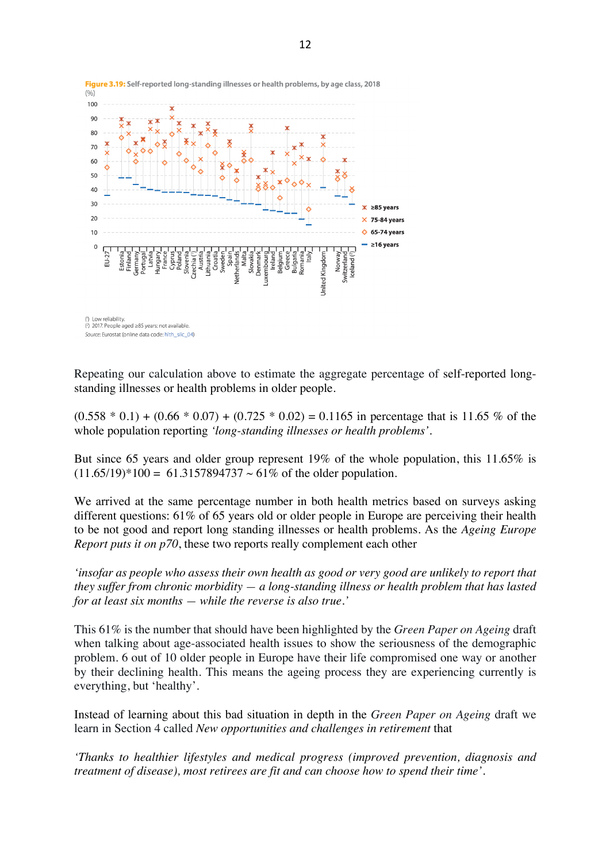

Figure 3.19: Self-reported long-standing illnesses or health problems, by age class, 2018

Repeating our calculation above to estimate the aggregate percentage of self-reported longstanding illnesses or health problems in older people.

 $(0.558 * 0.1) + (0.66 * 0.07) + (0.725 * 0.02) = 0.1165$  in percentage that is 11.65 % of the whole population reporting *'long-standing illnesses or health problems'.*

But since 65 years and older group represent 19% of the whole population, this 11.65% is  $(11.65/19)*100 = 61.3157894737 \sim 61\%$  of the older population.

We arrived at the same percentage number in both health metrics based on surveys asking different questions: 61% of 65 years old or older people in Europe are perceiving their health to be not good and report long standing illnesses or health problems. As the *Ageing Europe Report puts it on p70*, these two reports really complement each other

*'insofar as people who assess their own health as good or very good are unlikely to report that they suffer from chronic morbidity — a long-standing illness or health problem that has lasted for at least six months — while the reverse is also true.'*

This 61% is the number that should have been highlighted by the *Green Paper on Ageing* draft when talking about age-associated health issues to show the seriousness of the demographic problem. 6 out of 10 older people in Europe have their life compromised one way or another by their declining health. This means the ageing process they are experiencing currently is everything, but 'healthy'.

Instead of learning about this bad situation in depth in the *Green Paper on Ageing* draft we learn in Section 4 called *New opportunities and challenges in retirement* that

*'Thanks to healthier lifestyles and medical progress (improved prevention, diagnosis and treatment of disease), most retirees are fit and can choose how to spend their time'.*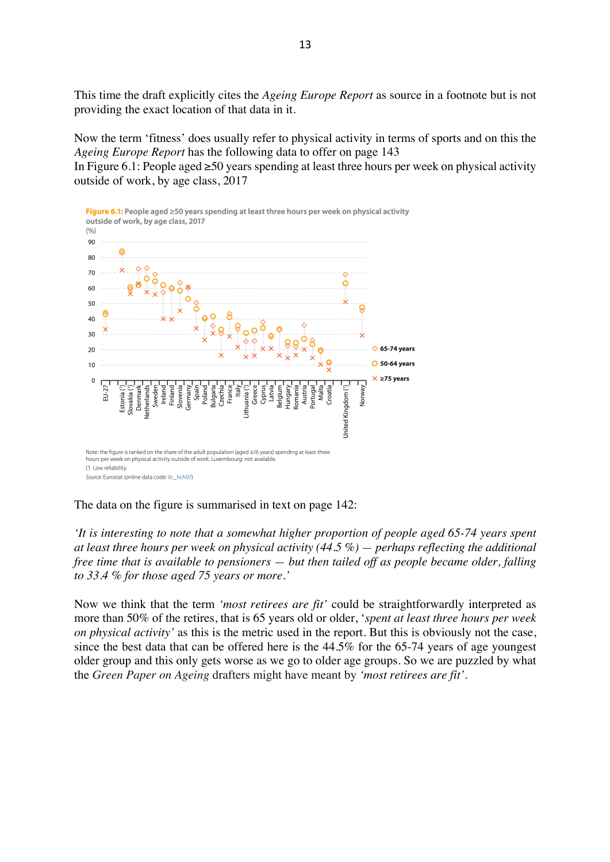This time the draft explicitly cites the *Ageing Europe Report* as source in a footnote but is not providing the exact location of that data in it.

Now the term 'fitness' does usually refer to physical activity in terms of sports and on this the *Ageing Europe Report* has the following data to offer on page 143

In Figure 6.1: People aged ≥50 years spending at least three hours per week on physical activity outside of work, by age class, 2017



The data on the figure is summarised in text on page 142:

*'It is interesting to note that a somewhat higher proportion of people aged 65-74 years spent at least three hours per week on physical activity (44.5 %) — perhaps reflecting the additional free time that is available to pensioners — but then tailed off as people became older, falling to 33.4 % for those aged 75 years or more.'*

Now we think that the term *'most retirees are fit'* could be straightforwardly interpreted as more than 50% of the retires, that is 65 years old or older, '*spent at least three hours per week on physical activity'* as this is the metric used in the report. But this is obviously not the case, since the best data that can be offered here is the 44.5% for the 65-74 years of age youngest older group and this only gets worse as we go to older age groups. So we are puzzled by what the *Green Paper on Ageing* drafters might have meant by *'most retirees are fit'*.